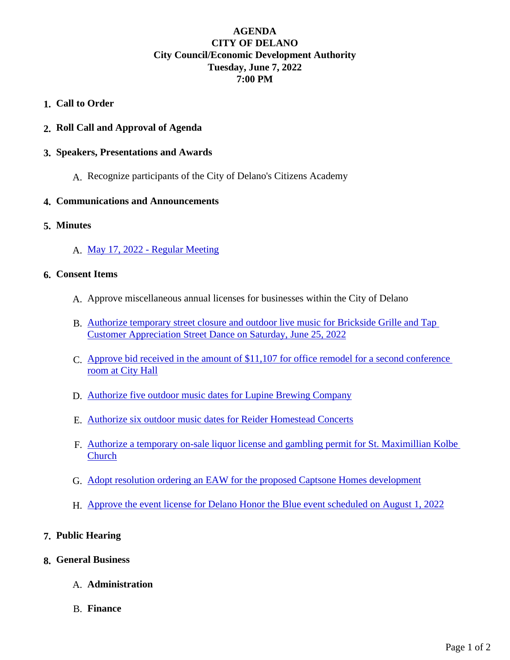## AGENDA CITY OF DELANO City Council/Economic Development Authority Tuesday, June 7, 2022 7:00 PM

- 1. Call to Order
- 2. Roll Call and Approval of Agenda
- 3. Speakers, Presentations and Awards
	- A. Recognize participants of the City of Delano's Citizens Academy
- 4. Communications and Announcements
- 5. Minutes
	- A. [May 17, 2022 Regular Meeti](https://www.delano.mn.us/2022_CityCouncil/Jun7/May17-Reg.pdf)ng
- 6. Consent Items
	- A. Approve miscellaneous annual licenses for businesses within the City of Delano
	- B. [Authorize temporary street closure and outdoor live music for Brickside Grille an](https://www.delano.mn.us/2022_CityCouncil/Jun7/Brickside-Event.pdf)d Tap [Customer Appreciation Street Dance on Saturday, June 25](https://www.delano.mn.us/2022_CityCouncil/Jun7/Brickside-Event.pdf), 2022
	- C. [Approve bid received in the amount of \\$11,107 for office remodel for a second conf](https://www.delano.mn.us/2022_CityCouncil/Jun7/CR_Remodel.pdf)erence [room at City Hal](https://www.delano.mn.us/2022_CityCouncil/Jun7/CR_Remodel.pdf)l
	- D. [Authorize five outdoor music dates for Lupine Brewing Comp](https://www.delano.mn.us/2022_CityCouncil/Jun7/Lupine_OutdoorMusic.pdf)any
	- E. [Authorize six outdoor music dates for Reider Homestead Co](https://www.delano.mn.us/2022_CityCouncil/Jun7/Rieder_OutdoorMusic.pdf)ncerts
	- F. [Authorize a temporary on-sale liquor license and gambling permit for St. Maximillian K](https://www.delano.mn.us/2022_CityCouncil/Jun7/StMax-LiquorGamble.pdf)olbe **[Church](https://www.delano.mn.us/2022_CityCouncil/Jun7/StMax-LiquorGamble.pdf)**
	- G. [Adopt resolution ordering an EAW for the proposed Captsone Homes develo](https://www.delano.mn.us/2022_CityCouncil/Jun7/RFA-Capstone_EAW-.pdf)pment
	- H. [Approve the event license for Delano Honor the Blue event scheduled on August](https://www.delano.mn.us/2022_CityCouncil/Jun7/HonorTheBlue.pdf) 1, 2022
- 7. Public Hearing
- 8. General Business
	- A. Administration
	- B. Finance